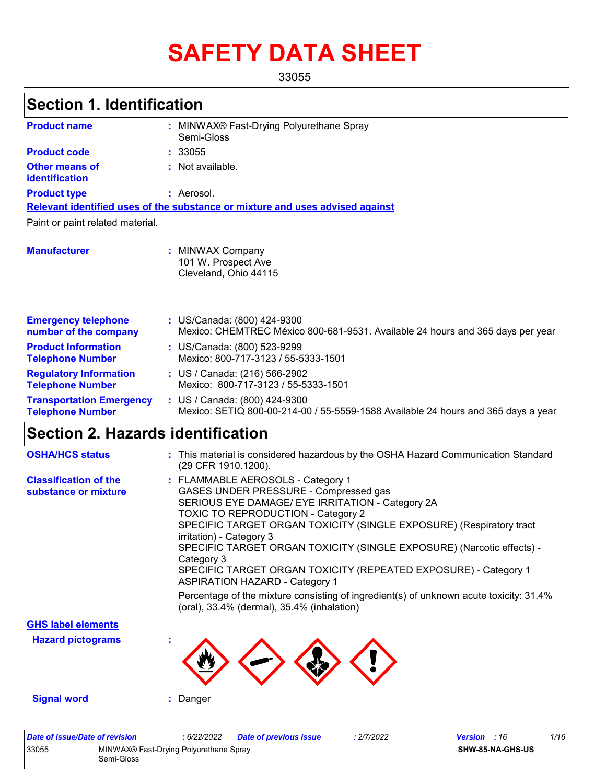# **SAFETY DATA SHEET**

33055

# **Section 1. Identification**

| <b>Product name</b>                                        | MINWAX® Fast-Drying Polyurethane Spray<br>Semi-Gloss                                                               |
|------------------------------------------------------------|--------------------------------------------------------------------------------------------------------------------|
| <b>Product code</b>                                        | : 33055                                                                                                            |
| <b>Other means of</b><br>identification                    | $:$ Not available.                                                                                                 |
| <b>Product type</b>                                        | : Aerosol.                                                                                                         |
|                                                            | Relevant identified uses of the substance or mixture and uses advised against                                      |
| Paint or paint related material.                           |                                                                                                                    |
| <b>Manufacturer</b>                                        | : MINWAX Company<br>101 W. Prospect Ave<br>Cleveland, Ohio 44115                                                   |
| <b>Emergency telephone</b><br>number of the company        | : US/Canada: (800) 424-9300<br>Mexico: CHEMTREC México 800-681-9531. Available 24 hours and 365 days per year      |
| <b>Product Information</b><br><b>Telephone Number</b>      | : US/Canada: (800) 523-9299<br>Mexico: 800-717-3123 / 55-5333-1501                                                 |
| <b>Regulatory Information</b><br><b>Telephone Number</b>   | : US / Canada: (216) 566-2902<br>Mexico: 800-717-3123 / 55-5333-1501                                               |
| <b>Transportation Emergency</b><br><b>Telephone Number</b> | : US / Canada: (800) 424-9300<br>Mexico: SETIQ 800-00-214-00 / 55-5559-1588 Available 24 hours and 365 days a year |

# **Section 2. Hazards identification**

| <b>OSHA/HCS status</b>                               | : This material is considered hazardous by the OSHA Hazard Communication Standard<br>(29 CFR 1910.1200).                                                                                                                                                                                                                                                                                                                                                                                                                                                                                                                  |
|------------------------------------------------------|---------------------------------------------------------------------------------------------------------------------------------------------------------------------------------------------------------------------------------------------------------------------------------------------------------------------------------------------------------------------------------------------------------------------------------------------------------------------------------------------------------------------------------------------------------------------------------------------------------------------------|
| <b>Classification of the</b><br>substance or mixture | : FLAMMABLE AEROSOLS - Category 1<br>GASES UNDER PRESSURE - Compressed gas<br>SERIOUS EYE DAMAGE/ EYE IRRITATION - Category 2A<br><b>TOXIC TO REPRODUCTION - Category 2</b><br>SPECIFIC TARGET ORGAN TOXICITY (SINGLE EXPOSURE) (Respiratory tract<br>irritation) - Category 3<br>SPECIFIC TARGET ORGAN TOXICITY (SINGLE EXPOSURE) (Narcotic effects) -<br>Category 3<br>SPECIFIC TARGET ORGAN TOXICITY (REPEATED EXPOSURE) - Category 1<br><b>ASPIRATION HAZARD - Category 1</b><br>Percentage of the mixture consisting of ingredient(s) of unknown acute toxicity: 31.4%<br>(oral), 33.4% (dermal), 35.4% (inhalation) |
| <b>GHS label elements</b>                            |                                                                                                                                                                                                                                                                                                                                                                                                                                                                                                                                                                                                                           |
| <b>Hazard pictograms</b>                             |                                                                                                                                                                                                                                                                                                                                                                                                                                                                                                                                                                                                                           |
| <b>Signal word</b>                                   | Danger                                                                                                                                                                                                                                                                                                                                                                                                                                                                                                                                                                                                                    |

| Date of issue/Date of revision |                                                      | 6/22/2022 | <b>Date of previous issue</b> | : 2/7/2022 | <b>Version</b> : 16 |                         | 1/16 |
|--------------------------------|------------------------------------------------------|-----------|-------------------------------|------------|---------------------|-------------------------|------|
| 33055                          | MINWAX® Fast-Drying Polyurethane Spray<br>Semi-Gloss |           |                               |            |                     | <b>SHW-85-NA-GHS-US</b> |      |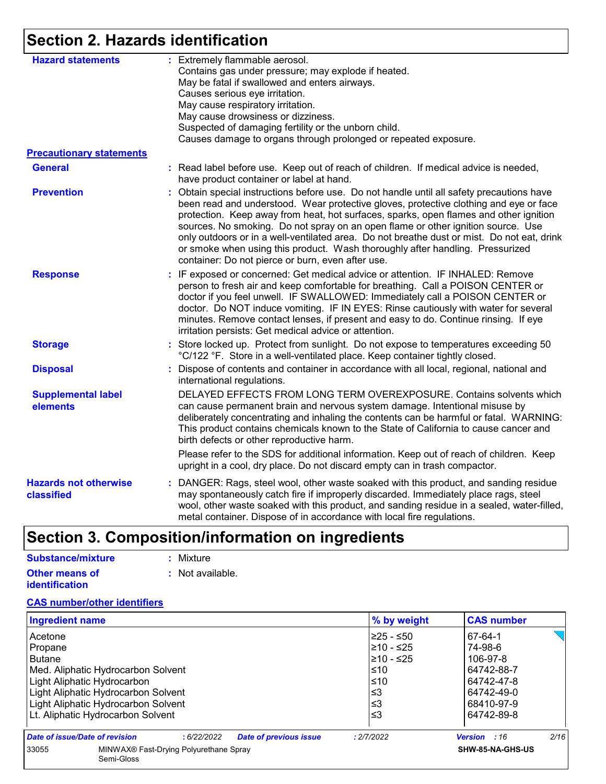# **Section 2. Hazards identification**

| <b>Hazard statements</b>                   | : Extremely flammable aerosol.<br>Contains gas under pressure; may explode if heated.<br>May be fatal if swallowed and enters airways.<br>Causes serious eye irritation.<br>May cause respiratory irritation.<br>May cause drowsiness or dizziness.<br>Suspected of damaging fertility or the unborn child.<br>Causes damage to organs through prolonged or repeated exposure.                                                                                                                                                                                                                    |
|--------------------------------------------|---------------------------------------------------------------------------------------------------------------------------------------------------------------------------------------------------------------------------------------------------------------------------------------------------------------------------------------------------------------------------------------------------------------------------------------------------------------------------------------------------------------------------------------------------------------------------------------------------|
| <b>Precautionary statements</b>            |                                                                                                                                                                                                                                                                                                                                                                                                                                                                                                                                                                                                   |
| <b>General</b>                             | : Read label before use. Keep out of reach of children. If medical advice is needed,<br>have product container or label at hand.                                                                                                                                                                                                                                                                                                                                                                                                                                                                  |
| <b>Prevention</b>                          | Obtain special instructions before use. Do not handle until all safety precautions have<br>been read and understood. Wear protective gloves, protective clothing and eye or face<br>protection. Keep away from heat, hot surfaces, sparks, open flames and other ignition<br>sources. No smoking. Do not spray on an open flame or other ignition source. Use<br>only outdoors or in a well-ventilated area. Do not breathe dust or mist. Do not eat, drink<br>or smoke when using this product. Wash thoroughly after handling. Pressurized<br>container: Do not pierce or burn, even after use. |
| <b>Response</b>                            | : IF exposed or concerned: Get medical advice or attention. IF INHALED: Remove<br>person to fresh air and keep comfortable for breathing. Call a POISON CENTER or<br>doctor if you feel unwell. IF SWALLOWED: Immediately call a POISON CENTER or<br>doctor. Do NOT induce vomiting. IF IN EYES: Rinse cautiously with water for several<br>minutes. Remove contact lenses, if present and easy to do. Continue rinsing. If eye<br>irritation persists: Get medical advice or attention.                                                                                                          |
| <b>Storage</b>                             | : Store locked up. Protect from sunlight. Do not expose to temperatures exceeding 50<br>°C/122 °F. Store in a well-ventilated place. Keep container tightly closed.                                                                                                                                                                                                                                                                                                                                                                                                                               |
| <b>Disposal</b>                            | Dispose of contents and container in accordance with all local, regional, national and<br>international regulations.                                                                                                                                                                                                                                                                                                                                                                                                                                                                              |
| <b>Supplemental label</b><br>elements      | DELAYED EFFECTS FROM LONG TERM OVEREXPOSURE. Contains solvents which<br>can cause permanent brain and nervous system damage. Intentional misuse by<br>deliberately concentrating and inhaling the contents can be harmful or fatal. WARNING:<br>This product contains chemicals known to the State of California to cause cancer and<br>birth defects or other reproductive harm.                                                                                                                                                                                                                 |
|                                            | Please refer to the SDS for additional information. Keep out of reach of children. Keep<br>upright in a cool, dry place. Do not discard empty can in trash compactor.                                                                                                                                                                                                                                                                                                                                                                                                                             |
| <b>Hazards not otherwise</b><br>classified | DANGER: Rags, steel wool, other waste soaked with this product, and sanding residue<br>may spontaneously catch fire if improperly discarded. Immediately place rags, steel<br>wool, other waste soaked with this product, and sanding residue in a sealed, water-filled,<br>metal container. Dispose of in accordance with local fire regulations.                                                                                                                                                                                                                                                |

# **Section 3. Composition/information on ingredients**

| Substance/mixture     | : Mixture        |
|-----------------------|------------------|
| <b>Other means of</b> | : Not available. |
| <b>identification</b> |                  |

#### **CAS number/other identifiers**

| Ingredient name                                                               | <b>CAS number</b><br>% by weight   |
|-------------------------------------------------------------------------------|------------------------------------|
| Acetone                                                                       | 225 - ≤50<br>67-64-1               |
| Propane                                                                       | 210 - ≤25<br>74-98-6               |
| <b>Butane</b>                                                                 | 210 - ≤25<br>106-97-8              |
| Med. Aliphatic Hydrocarbon Solvent                                            | l≤10<br>64742-88-7                 |
| Light Aliphatic Hydrocarbon                                                   | l≤10<br>64742-47-8                 |
| Light Aliphatic Hydrocarbon Solvent                                           | 64742-49-0<br>l≤3                  |
| Light Aliphatic Hydrocarbon Solvent                                           | $≤3$<br>68410-97-9                 |
| Lt. Aliphatic Hydrocarbon Solvent                                             | ՝≤3<br>64742-89-8                  |
| Date of issue/Date of revision<br><b>Date of previous issue</b><br>:6/22/2022 | 2/16<br>Version : 16<br>: 2/7/2022 |
| MINWAX® Fast-Drying Polyurethane Spray<br>33055<br>Semi-Gloss                 | SHW-85-NA-GHS-US                   |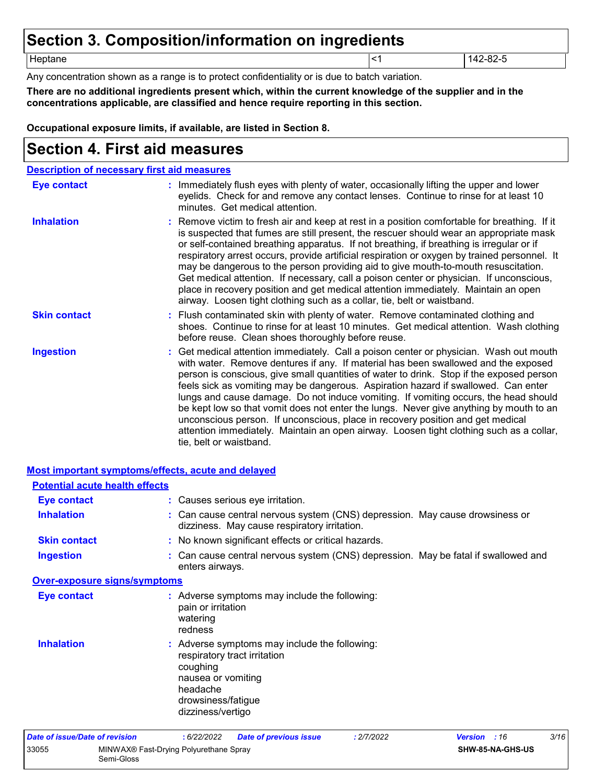# **Section 3. Composition/information on ingredients**

Heptane <1 142-82-5

Any concentration shown as a range is to protect confidentiality or is due to batch variation.

**There are no additional ingredients present which, within the current knowledge of the supplier and in the concentrations applicable, are classified and hence require reporting in this section.**

**Occupational exposure limits, if available, are listed in Section 8.**

# **Section 4. First aid measures**

| <b>Description of necessary first aid measures</b> |                                                                                                                                                                                                                                                                                                                                                                                                                                                                                                                                                                                                                                                                                                                                                         |
|----------------------------------------------------|---------------------------------------------------------------------------------------------------------------------------------------------------------------------------------------------------------------------------------------------------------------------------------------------------------------------------------------------------------------------------------------------------------------------------------------------------------------------------------------------------------------------------------------------------------------------------------------------------------------------------------------------------------------------------------------------------------------------------------------------------------|
| Eye contact                                        | : Immediately flush eyes with plenty of water, occasionally lifting the upper and lower<br>eyelids. Check for and remove any contact lenses. Continue to rinse for at least 10<br>minutes. Get medical attention.                                                                                                                                                                                                                                                                                                                                                                                                                                                                                                                                       |
| <b>Inhalation</b>                                  | : Remove victim to fresh air and keep at rest in a position comfortable for breathing. If it<br>is suspected that fumes are still present, the rescuer should wear an appropriate mask<br>or self-contained breathing apparatus. If not breathing, if breathing is irregular or if<br>respiratory arrest occurs, provide artificial respiration or oxygen by trained personnel. It<br>may be dangerous to the person providing aid to give mouth-to-mouth resuscitation.<br>Get medical attention. If necessary, call a poison center or physician. If unconscious,<br>place in recovery position and get medical attention immediately. Maintain an open<br>airway. Loosen tight clothing such as a collar, tie, belt or waistband.                    |
| <b>Skin contact</b>                                | : Flush contaminated skin with plenty of water. Remove contaminated clothing and<br>shoes. Continue to rinse for at least 10 minutes. Get medical attention. Wash clothing<br>before reuse. Clean shoes thoroughly before reuse.                                                                                                                                                                                                                                                                                                                                                                                                                                                                                                                        |
| <b>Ingestion</b>                                   | : Get medical attention immediately. Call a poison center or physician. Wash out mouth<br>with water. Remove dentures if any. If material has been swallowed and the exposed<br>person is conscious, give small quantities of water to drink. Stop if the exposed person<br>feels sick as vomiting may be dangerous. Aspiration hazard if swallowed. Can enter<br>lungs and cause damage. Do not induce vomiting. If vomiting occurs, the head should<br>be kept low so that vomit does not enter the lungs. Never give anything by mouth to an<br>unconscious person. If unconscious, place in recovery position and get medical<br>attention immediately. Maintain an open airway. Loosen tight clothing such as a collar,<br>tie, belt or waistband. |

| <b>Potential acute health effects</b> |                                                                                                                                                                        |
|---------------------------------------|------------------------------------------------------------------------------------------------------------------------------------------------------------------------|
| <b>Eye contact</b>                    | : Causes serious eye irritation.                                                                                                                                       |
| <b>Inhalation</b>                     | : Can cause central nervous system (CNS) depression. May cause drowsiness or<br>dizziness. May cause respiratory irritation.                                           |
| <b>Skin contact</b>                   | : No known significant effects or critical hazards.                                                                                                                    |
| <b>Ingestion</b>                      | : Can cause central nervous system (CNS) depression. May be fatal if swallowed and<br>enters airways.                                                                  |
| <b>Over-exposure signs/symptoms</b>   |                                                                                                                                                                        |
| Eye contact                           | : Adverse symptoms may include the following:<br>pain or irritation<br>watering<br>redness                                                                             |
| <b>Inhalation</b>                     | : Adverse symptoms may include the following:<br>respiratory tract irritation<br>coughing<br>nausea or vomiting<br>headache<br>drowsiness/fatigue<br>dizziness/vertigo |
| Date of issue/Date of revision        | 3/16<br>: 6/22/2022<br>: 2/7/2022<br><b>Date of previous issue</b><br><b>Version</b> : 16                                                                              |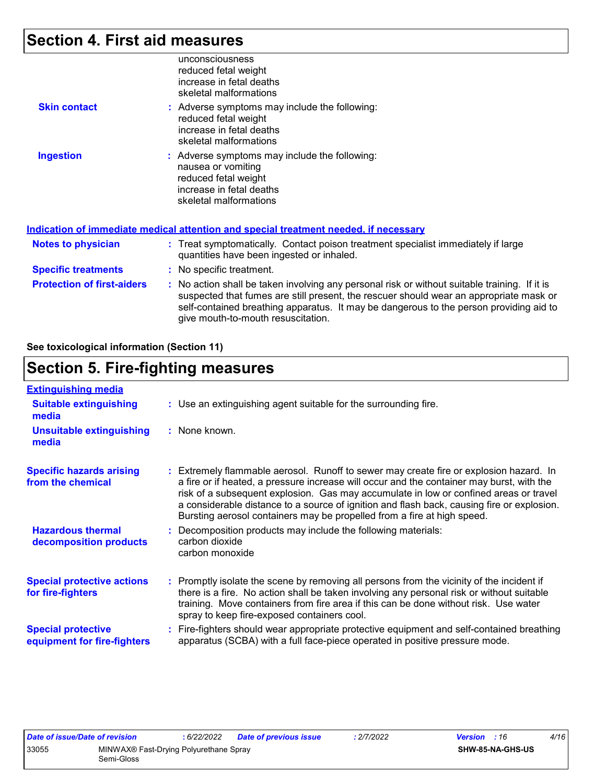### **Section 4. First aid measures**

|                            | unconsciousness<br>reduced fetal weight<br>increase in fetal deaths<br>skeletal malformations                                                     |
|----------------------------|---------------------------------------------------------------------------------------------------------------------------------------------------|
| <b>Skin contact</b>        | : Adverse symptoms may include the following:<br>reduced fetal weight<br>increase in fetal deaths<br>skeletal malformations                       |
| <b>Ingestion</b>           | : Adverse symptoms may include the following:<br>nausea or vomiting<br>reduced fetal weight<br>increase in fetal deaths<br>skeletal malformations |
|                            | <u>Indication of immediate medical attention and special treatment needed, if necessary</u>                                                       |
| Notes to physician         | : Treat symptomatically. Contact poison treatment specialist immediately if large<br>quantities have been ingested or inhaled.                    |
| <b>Specific treatments</b> | : No specific treatment.                                                                                                                          |

**Protection of first-aiders :** No action shall be taken involving any personal risk or without suitable training. If it is suspected that fumes are still present, the rescuer should wear an appropriate mask or self-contained breathing apparatus. It may be dangerous to the person providing aid to give mouth-to-mouth resuscitation.

#### **See toxicological information (Section 11)**

### **Section 5. Fire-fighting measures**

| <b>Extinguishing media</b>                               |                                                                                                                                                                                                                                                                                                                                                                                                                                                       |
|----------------------------------------------------------|-------------------------------------------------------------------------------------------------------------------------------------------------------------------------------------------------------------------------------------------------------------------------------------------------------------------------------------------------------------------------------------------------------------------------------------------------------|
| <b>Suitable extinguishing</b><br>media                   | : Use an extinguishing agent suitable for the surrounding fire.                                                                                                                                                                                                                                                                                                                                                                                       |
| <b>Unsuitable extinguishing</b><br>media                 | : None known.                                                                                                                                                                                                                                                                                                                                                                                                                                         |
| <b>Specific hazards arising</b><br>from the chemical     | : Extremely flammable aerosol. Runoff to sewer may create fire or explosion hazard. In<br>a fire or if heated, a pressure increase will occur and the container may burst, with the<br>risk of a subsequent explosion. Gas may accumulate in low or confined areas or travel<br>a considerable distance to a source of ignition and flash back, causing fire or explosion.<br>Bursting aerosol containers may be propelled from a fire at high speed. |
| <b>Hazardous thermal</b><br>decomposition products       | Decomposition products may include the following materials:<br>carbon dioxide<br>carbon monoxide                                                                                                                                                                                                                                                                                                                                                      |
| <b>Special protective actions</b><br>for fire-fighters   | : Promptly isolate the scene by removing all persons from the vicinity of the incident if<br>there is a fire. No action shall be taken involving any personal risk or without suitable<br>training. Move containers from fire area if this can be done without risk. Use water<br>spray to keep fire-exposed containers cool.                                                                                                                         |
| <b>Special protective</b><br>equipment for fire-fighters | Fire-fighters should wear appropriate protective equipment and self-contained breathing<br>apparatus (SCBA) with a full face-piece operated in positive pressure mode.                                                                                                                                                                                                                                                                                |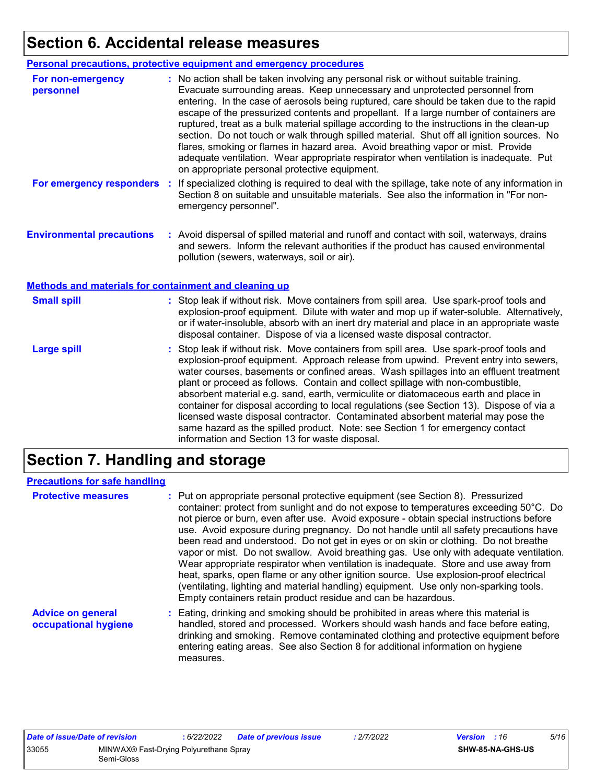# **Section 6. Accidental release measures**

|                                                                                                  | Personal precautions, protective equipment and emergency procedures                                                                                                                                                                                                                                                                                                                                                                                                                                                                                                                                                                                                                                                                                                              |
|--------------------------------------------------------------------------------------------------|----------------------------------------------------------------------------------------------------------------------------------------------------------------------------------------------------------------------------------------------------------------------------------------------------------------------------------------------------------------------------------------------------------------------------------------------------------------------------------------------------------------------------------------------------------------------------------------------------------------------------------------------------------------------------------------------------------------------------------------------------------------------------------|
| For non-emergency<br>personnel                                                                   | : No action shall be taken involving any personal risk or without suitable training.<br>Evacuate surrounding areas. Keep unnecessary and unprotected personnel from<br>entering. In the case of aerosols being ruptured, care should be taken due to the rapid<br>escape of the pressurized contents and propellant. If a large number of containers are<br>ruptured, treat as a bulk material spillage according to the instructions in the clean-up<br>section. Do not touch or walk through spilled material. Shut off all ignition sources. No<br>flares, smoking or flames in hazard area. Avoid breathing vapor or mist. Provide<br>adequate ventilation. Wear appropriate respirator when ventilation is inadequate. Put<br>on appropriate personal protective equipment. |
| For emergency responders                                                                         | If specialized clothing is required to deal with the spillage, take note of any information in<br>÷<br>Section 8 on suitable and unsuitable materials. See also the information in "For non-<br>emergency personnel".                                                                                                                                                                                                                                                                                                                                                                                                                                                                                                                                                            |
| <b>Environmental precautions</b><br><b>Methods and materials for containment and cleaning up</b> | : Avoid dispersal of spilled material and runoff and contact with soil, waterways, drains<br>and sewers. Inform the relevant authorities if the product has caused environmental<br>pollution (sewers, waterways, soil or air).                                                                                                                                                                                                                                                                                                                                                                                                                                                                                                                                                  |
|                                                                                                  |                                                                                                                                                                                                                                                                                                                                                                                                                                                                                                                                                                                                                                                                                                                                                                                  |
| <b>Small spill</b>                                                                               | : Stop leak if without risk. Move containers from spill area. Use spark-proof tools and<br>explosion-proof equipment. Dilute with water and mop up if water-soluble. Alternatively,<br>or if water-insoluble, absorb with an inert dry material and place in an appropriate waste<br>disposal container. Dispose of via a licensed waste disposal contractor.                                                                                                                                                                                                                                                                                                                                                                                                                    |
| <b>Large spill</b>                                                                               | : Stop leak if without risk. Move containers from spill area. Use spark-proof tools and<br>explosion-proof equipment. Approach release from upwind. Prevent entry into sewers,<br>water courses, basements or confined areas. Wash spillages into an effluent treatment<br>plant or proceed as follows. Contain and collect spillage with non-combustible,<br>absorbent material e.g. sand, earth, vermiculite or diatomaceous earth and place in<br>container for disposal according to local regulations (see Section 13). Dispose of via a<br>licensed waste disposal contractor. Contaminated absorbent material may pose the<br>same hazard as the spilled product. Note: see Section 1 for emergency contact<br>information and Section 13 for waste disposal.             |

# **Section 7. Handling and storage**

### **Precautions for safe handling**

| <b>Protective measures</b>                       | : Put on appropriate personal protective equipment (see Section 8). Pressurized<br>container: protect from sunlight and do not expose to temperatures exceeding 50°C. Do<br>not pierce or burn, even after use. Avoid exposure - obtain special instructions before<br>use. Avoid exposure during pregnancy. Do not handle until all safety precautions have<br>been read and understood. Do not get in eyes or on skin or clothing. Do not breathe<br>vapor or mist. Do not swallow. Avoid breathing gas. Use only with adequate ventilation.<br>Wear appropriate respirator when ventilation is inadequate. Store and use away from<br>heat, sparks, open flame or any other ignition source. Use explosion-proof electrical<br>(ventilating, lighting and material handling) equipment. Use only non-sparking tools.<br>Empty containers retain product residue and can be hazardous. |
|--------------------------------------------------|------------------------------------------------------------------------------------------------------------------------------------------------------------------------------------------------------------------------------------------------------------------------------------------------------------------------------------------------------------------------------------------------------------------------------------------------------------------------------------------------------------------------------------------------------------------------------------------------------------------------------------------------------------------------------------------------------------------------------------------------------------------------------------------------------------------------------------------------------------------------------------------|
| <b>Advice on general</b><br>occupational hygiene | : Eating, drinking and smoking should be prohibited in areas where this material is<br>handled, stored and processed. Workers should wash hands and face before eating,<br>drinking and smoking. Remove contaminated clothing and protective equipment before<br>entering eating areas. See also Section 8 for additional information on hygiene<br>measures.                                                                                                                                                                                                                                                                                                                                                                                                                                                                                                                            |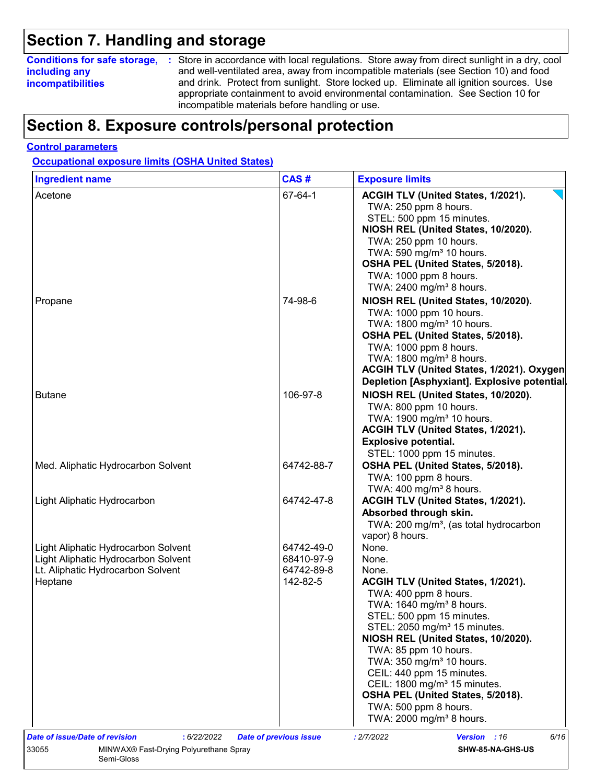### **Section 7. Handling and storage**

### **including any incompatibilities**

**Conditions for safe storage,** : Store in accordance with local regulations. Store away from direct sunlight in a dry, cool and well-ventilated area, away from incompatible materials (see Section 10) and food and drink. Protect from sunlight. Store locked up. Eliminate all ignition sources. Use appropriate containment to avoid environmental contamination. See Section 10 for incompatible materials before handling or use.

### **Section 8. Exposure controls/personal protection**

#### **Control parameters**

**Occupational exposure limits (OSHA United States)**

Semi-Gloss

| <b>Ingredient name</b>                          | CAS#                          | <b>Exposure limits</b>                                      |
|-------------------------------------------------|-------------------------------|-------------------------------------------------------------|
| Acetone                                         | 67-64-1                       | ACGIH TLV (United States, 1/2021).<br>TWA: 250 ppm 8 hours. |
|                                                 |                               | STEL: 500 ppm 15 minutes.                                   |
|                                                 |                               | NIOSH REL (United States, 10/2020).                         |
|                                                 |                               | TWA: 250 ppm 10 hours.                                      |
|                                                 |                               | TWA: 590 mg/m <sup>3</sup> 10 hours.                        |
|                                                 |                               | OSHA PEL (United States, 5/2018).                           |
|                                                 |                               | TWA: 1000 ppm 8 hours.                                      |
|                                                 |                               | TWA: 2400 mg/m <sup>3</sup> 8 hours.                        |
| Propane                                         | 74-98-6                       | NIOSH REL (United States, 10/2020).                         |
|                                                 |                               | TWA: 1000 ppm 10 hours.                                     |
|                                                 |                               | TWA: 1800 mg/m <sup>3</sup> 10 hours.                       |
|                                                 |                               | OSHA PEL (United States, 5/2018).                           |
|                                                 |                               | TWA: 1000 ppm 8 hours.                                      |
|                                                 |                               | TWA: 1800 mg/m <sup>3</sup> 8 hours.                        |
|                                                 |                               | ACGIH TLV (United States, 1/2021). Oxygen                   |
|                                                 |                               | Depletion [Asphyxiant]. Explosive potential                 |
| <b>Butane</b>                                   | 106-97-8                      | NIOSH REL (United States, 10/2020).                         |
|                                                 |                               | TWA: 800 ppm 10 hours.                                      |
|                                                 |                               | TWA: 1900 mg/m <sup>3</sup> 10 hours.                       |
|                                                 |                               | ACGIH TLV (United States, 1/2021).                          |
|                                                 |                               | <b>Explosive potential.</b>                                 |
|                                                 |                               | STEL: 1000 ppm 15 minutes.                                  |
| Med. Aliphatic Hydrocarbon Solvent              | 64742-88-7                    | OSHA PEL (United States, 5/2018).                           |
|                                                 |                               | TWA: 100 ppm 8 hours.                                       |
|                                                 |                               | TWA: $400 \text{ mg/m}^3$ 8 hours.                          |
| Light Aliphatic Hydrocarbon                     | 64742-47-8                    | ACGIH TLV (United States, 1/2021).                          |
|                                                 |                               | Absorbed through skin.                                      |
|                                                 |                               | TWA: 200 mg/m <sup>3</sup> , (as total hydrocarbon          |
|                                                 |                               | vapor) 8 hours.                                             |
| Light Aliphatic Hydrocarbon Solvent             | 64742-49-0                    | None.                                                       |
| Light Aliphatic Hydrocarbon Solvent             | 68410-97-9                    | None.                                                       |
| Lt. Aliphatic Hydrocarbon Solvent               | 64742-89-8                    | None.                                                       |
| Heptane                                         | 142-82-5                      | ACGIH TLV (United States, 1/2021).                          |
|                                                 |                               | TWA: 400 ppm 8 hours.                                       |
|                                                 |                               | TWA: 1640 mg/m <sup>3</sup> 8 hours.                        |
|                                                 |                               | STEL: 500 ppm 15 minutes.                                   |
|                                                 |                               | STEL: 2050 mg/m <sup>3</sup> 15 minutes.                    |
|                                                 |                               | NIOSH REL (United States, 10/2020).                         |
|                                                 |                               | TWA: 85 ppm 10 hours.                                       |
|                                                 |                               | TWA: 350 mg/m <sup>3</sup> 10 hours.                        |
|                                                 |                               | CEIL: 440 ppm 15 minutes.                                   |
|                                                 |                               | CEIL: 1800 mg/m <sup>3</sup> 15 minutes.                    |
|                                                 |                               | OSHA PEL (United States, 5/2018).                           |
|                                                 |                               | TWA: 500 ppm 8 hours.                                       |
|                                                 |                               | TWA: 2000 mg/m <sup>3</sup> 8 hours.                        |
| Date of issue/Date of revision<br>: 6/22/2022   | <b>Date of previous issue</b> | : 2/7/2022<br><b>Version</b> : 16<br>6/16                   |
| MINWAX® Fast-Drying Polyurethane Spray<br>33055 |                               | SHW-85-NA-GHS-US                                            |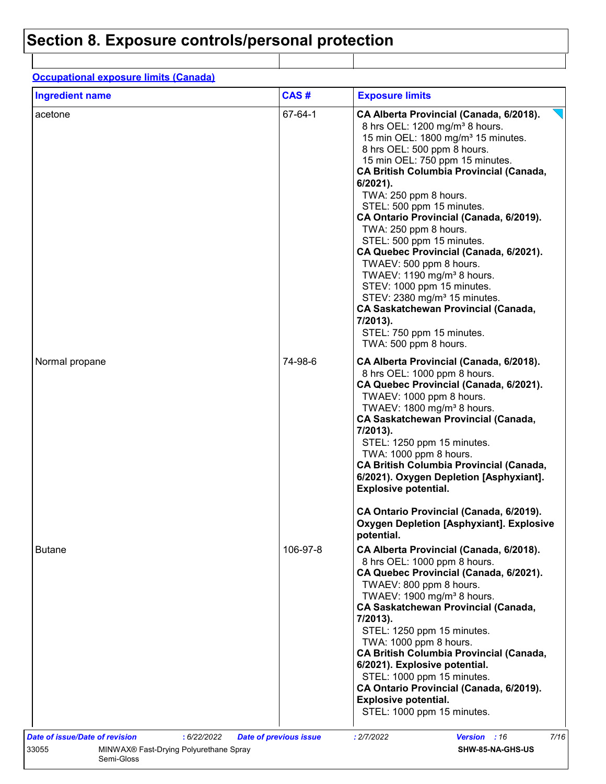# **Section 8. Exposure controls/personal protection**

| <b>Ingredient name</b> | CAS#     | <b>Exposure limits</b>                                                                                                                                                                                                                                                                                                                                                                                                                                                                                                                                                                                                                                                                                                                  |
|------------------------|----------|-----------------------------------------------------------------------------------------------------------------------------------------------------------------------------------------------------------------------------------------------------------------------------------------------------------------------------------------------------------------------------------------------------------------------------------------------------------------------------------------------------------------------------------------------------------------------------------------------------------------------------------------------------------------------------------------------------------------------------------------|
| acetone                | 67-64-1  | CA Alberta Provincial (Canada, 6/2018).<br>8 hrs OEL: 1200 mg/m <sup>3</sup> 8 hours.<br>15 min OEL: 1800 mg/m <sup>3</sup> 15 minutes.<br>8 hrs OEL: 500 ppm 8 hours.<br>15 min OEL: 750 ppm 15 minutes.<br><b>CA British Columbia Provincial (Canada,</b><br>6/2021).<br>TWA: 250 ppm 8 hours.<br>STEL: 500 ppm 15 minutes.<br>CA Ontario Provincial (Canada, 6/2019).<br>TWA: 250 ppm 8 hours.<br>STEL: 500 ppm 15 minutes.<br>CA Quebec Provincial (Canada, 6/2021).<br>TWAEV: 500 ppm 8 hours.<br>TWAEV: 1190 mg/m <sup>3</sup> 8 hours.<br>STEV: 1000 ppm 15 minutes.<br>STEV: 2380 mg/m <sup>3</sup> 15 minutes.<br><b>CA Saskatchewan Provincial (Canada,</b><br>7/2013).<br>STEL: 750 ppm 15 minutes.<br>TWA: 500 ppm 8 hours. |
| Normal propane         | 74-98-6  | CA Alberta Provincial (Canada, 6/2018).<br>8 hrs OEL: 1000 ppm 8 hours.<br>CA Quebec Provincial (Canada, 6/2021).<br>TWAEV: 1000 ppm 8 hours.<br>TWAEV: 1800 mg/m <sup>3</sup> 8 hours.<br><b>CA Saskatchewan Provincial (Canada,</b><br>7/2013).<br>STEL: 1250 ppm 15 minutes.<br>TWA: 1000 ppm 8 hours.<br><b>CA British Columbia Provincial (Canada,</b><br>6/2021). Oxygen Depletion [Asphyxiant].<br><b>Explosive potential.</b>                                                                                                                                                                                                                                                                                                   |
|                        |          | CA Ontario Provincial (Canada, 6/2019).<br><b>Oxygen Depletion [Asphyxiant]. Explosive</b><br>potential.                                                                                                                                                                                                                                                                                                                                                                                                                                                                                                                                                                                                                                |
| <b>Butane</b>          | 106-97-8 | CA Alberta Provincial (Canada, 6/2018).<br>8 hrs OEL: 1000 ppm 8 hours.<br>CA Quebec Provincial (Canada, 6/2021).<br>TWAEV: 800 ppm 8 hours.<br>TWAEV: 1900 mg/m <sup>3</sup> 8 hours.<br><b>CA Saskatchewan Provincial (Canada,</b><br>7/2013).<br>STEL: 1250 ppm 15 minutes.<br>TWA: 1000 ppm 8 hours.<br><b>CA British Columbia Provincial (Canada,</b><br>6/2021). Explosive potential.<br>STEL: 1000 ppm 15 minutes.<br>CA Ontario Provincial (Canada, 6/2019).<br><b>Explosive potential.</b><br>STEL: 1000 ppm 15 minutes.                                                                                                                                                                                                       |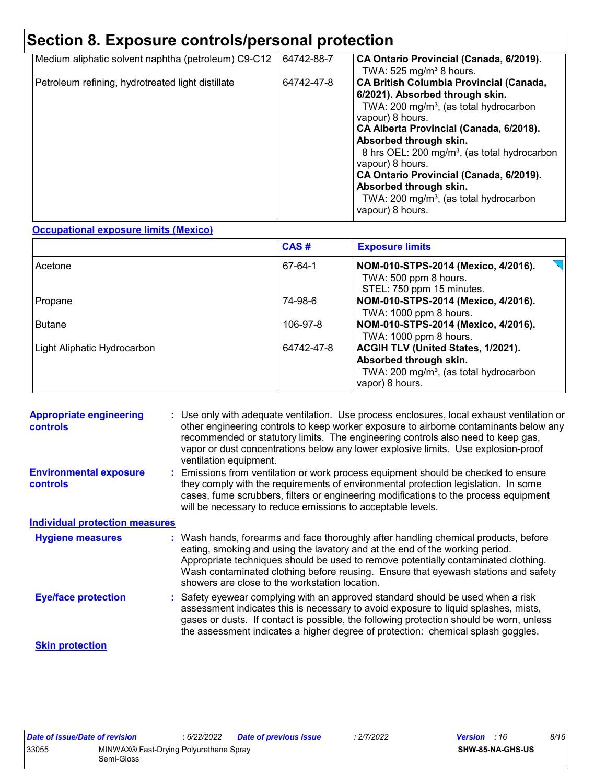# **Section 8. Exposure controls/personal protection**

| Medium aliphatic solvent naphtha (petroleum) C9-C12 | 64742-88-7 | CA Ontario Provincial (Canada, 6/2019).<br>TWA: $525$ mg/m <sup>3</sup> 8 hours.                                                                                                                                                                                                                                                                                                                                                                                |
|-----------------------------------------------------|------------|-----------------------------------------------------------------------------------------------------------------------------------------------------------------------------------------------------------------------------------------------------------------------------------------------------------------------------------------------------------------------------------------------------------------------------------------------------------------|
| Petroleum refining, hydrotreated light distillate   | 64742-47-8 | <b>CA British Columbia Provincial (Canada,</b><br>6/2021). Absorbed through skin.<br>TWA: 200 mg/m <sup>3</sup> , (as total hydrocarbon<br>vapour) 8 hours.<br>CA Alberta Provincial (Canada, 6/2018).<br>Absorbed through skin.<br>8 hrs OEL: 200 mg/m <sup>3</sup> , (as total hydrocarbon<br>vapour) 8 hours.<br>CA Ontario Provincial (Canada, 6/2019).<br>Absorbed through skin.<br>TWA: 200 mg/m <sup>3</sup> , (as total hydrocarbon<br>vapour) 8 hours. |

#### **Occupational exposure limits (Mexico)**

|                             | CAS#       | <b>Exposure limits</b>                                                                                                                |
|-----------------------------|------------|---------------------------------------------------------------------------------------------------------------------------------------|
| Acetone                     | 67-64-1    | NOM-010-STPS-2014 (Mexico, 4/2016).<br>TWA: 500 ppm 8 hours.<br>STEL: 750 ppm 15 minutes.                                             |
| Propane                     | 74-98-6    | NOM-010-STPS-2014 (Mexico, 4/2016).<br>TWA: 1000 ppm 8 hours.                                                                         |
| <b>Butane</b>               | 106-97-8   | NOM-010-STPS-2014 (Mexico, 4/2016).<br>TWA: 1000 ppm 8 hours.                                                                         |
| Light Aliphatic Hydrocarbon | 64742-47-8 | ACGIH TLV (United States, 1/2021).<br>Absorbed through skin.<br>TWA: 200 mg/m <sup>3</sup> , (as total hydrocarbon<br>vapor) 8 hours. |

| <b>Appropriate engineering</b><br><b>controls</b> | : Use only with adequate ventilation. Use process enclosures, local exhaust ventilation or<br>other engineering controls to keep worker exposure to airborne contaminants below any<br>recommended or statutory limits. The engineering controls also need to keep gas,<br>vapor or dust concentrations below any lower explosive limits. Use explosion-proof<br>ventilation equipment.           |
|---------------------------------------------------|---------------------------------------------------------------------------------------------------------------------------------------------------------------------------------------------------------------------------------------------------------------------------------------------------------------------------------------------------------------------------------------------------|
| <b>Environmental exposure</b><br><b>controls</b>  | : Emissions from ventilation or work process equipment should be checked to ensure<br>they comply with the requirements of environmental protection legislation. In some<br>cases, fume scrubbers, filters or engineering modifications to the process equipment<br>will be necessary to reduce emissions to acceptable levels.                                                                   |
| <b>Individual protection measures</b>             |                                                                                                                                                                                                                                                                                                                                                                                                   |
| <b>Hygiene measures</b>                           | : Wash hands, forearms and face thoroughly after handling chemical products, before<br>eating, smoking and using the lavatory and at the end of the working period.<br>Appropriate techniques should be used to remove potentially contaminated clothing.<br>Wash contaminated clothing before reusing. Ensure that eyewash stations and safety<br>showers are close to the workstation location. |
| <b>Eye/face protection</b>                        | : Safety eyewear complying with an approved standard should be used when a risk<br>assessment indicates this is necessary to avoid exposure to liquid splashes, mists,<br>gases or dusts. If contact is possible, the following protection should be worn, unless<br>the assessment indicates a higher degree of protection: chemical splash goggles.                                             |
| <b>Skin protection</b>                            |                                                                                                                                                                                                                                                                                                                                                                                                   |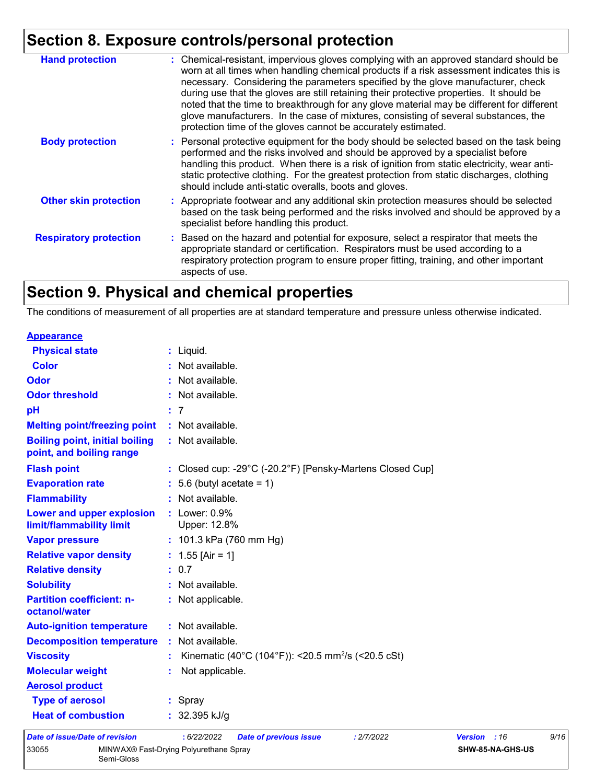# **Section 8. Exposure controls/personal protection**

| <b>Hand protection</b>        | : Chemical-resistant, impervious gloves complying with an approved standard should be<br>worn at all times when handling chemical products if a risk assessment indicates this is<br>necessary. Considering the parameters specified by the glove manufacturer, check<br>during use that the gloves are still retaining their protective properties. It should be<br>noted that the time to breakthrough for any glove material may be different for different<br>glove manufacturers. In the case of mixtures, consisting of several substances, the<br>protection time of the gloves cannot be accurately estimated. |
|-------------------------------|------------------------------------------------------------------------------------------------------------------------------------------------------------------------------------------------------------------------------------------------------------------------------------------------------------------------------------------------------------------------------------------------------------------------------------------------------------------------------------------------------------------------------------------------------------------------------------------------------------------------|
| <b>Body protection</b>        | : Personal protective equipment for the body should be selected based on the task being<br>performed and the risks involved and should be approved by a specialist before<br>handling this product. When there is a risk of ignition from static electricity, wear anti-<br>static protective clothing. For the greatest protection from static discharges, clothing<br>should include anti-static overalls, boots and gloves.                                                                                                                                                                                         |
| <b>Other skin protection</b>  | : Appropriate footwear and any additional skin protection measures should be selected<br>based on the task being performed and the risks involved and should be approved by a<br>specialist before handling this product.                                                                                                                                                                                                                                                                                                                                                                                              |
| <b>Respiratory protection</b> | : Based on the hazard and potential for exposure, select a respirator that meets the<br>appropriate standard or certification. Respirators must be used according to a<br>respiratory protection program to ensure proper fitting, training, and other important<br>aspects of use.                                                                                                                                                                                                                                                                                                                                    |

# **Section 9. Physical and chemical properties**

The conditions of measurement of all properties are at standard temperature and pressure unless otherwise indicated.

| <b>Appearance</b>                                                 |                                                                |
|-------------------------------------------------------------------|----------------------------------------------------------------|
| <b>Physical state</b>                                             | : Liquid.                                                      |
| <b>Color</b>                                                      | : Not available.                                               |
| <b>Odor</b>                                                       | : Not available.                                               |
| <b>Odor threshold</b>                                             | : Not available.                                               |
| pH                                                                | : 7                                                            |
| <b>Melting point/freezing point</b>                               | : Not available.                                               |
| <b>Boiling point, initial boiling</b><br>point, and boiling range | : Not available.                                               |
| <b>Flash point</b>                                                | : Closed cup: -29°C (-20.2°F) [Pensky-Martens Closed Cup]      |
| <b>Evaporation rate</b>                                           | $: 5.6$ (butyl acetate = 1)                                    |
| <b>Flammability</b>                                               | : Not available.                                               |
| Lower and upper explosion<br>limit/flammability limit             | $:$ Lower: $0.9\%$<br>Upper: 12.8%                             |
| <b>Vapor pressure</b>                                             | : 101.3 kPa (760 mm Hg)                                        |
| <b>Relative vapor density</b>                                     | : $1.55$ [Air = 1]                                             |
| <b>Relative density</b>                                           | : 0.7                                                          |
| <b>Solubility</b>                                                 | : Not available.                                               |
| <b>Partition coefficient: n-</b><br>octanol/water                 | : Not applicable.                                              |
| <b>Auto-ignition temperature</b>                                  | : Not available.                                               |
| <b>Decomposition temperature</b>                                  | : Not available.                                               |
| <b>Viscosity</b>                                                  | Kinematic (40°C (104°F)): <20.5 mm <sup>2</sup> /s (<20.5 cSt) |
| <b>Molecular weight</b>                                           | Not applicable.                                                |
| <b>Aerosol product</b>                                            |                                                                |
| <b>Type of aerosol</b>                                            | $:$ Spray                                                      |
| <b>Heat of combustion</b>                                         | : $32.395$ kJ/g                                                |
| Data of issue/Data of revision                                    | .6/22/2022<br>.2/7/2022<br>Data of province issue<br>V         |

#### *Date of issue/Date of revision* **:** *6/22/2022 Date of previous issue : 2/7/2022 Version : 16 9/16* 33055 MINWAX® Fast-Drying Polyurethane Spray Semi-Gloss **SHW-85-NA-GHS-US**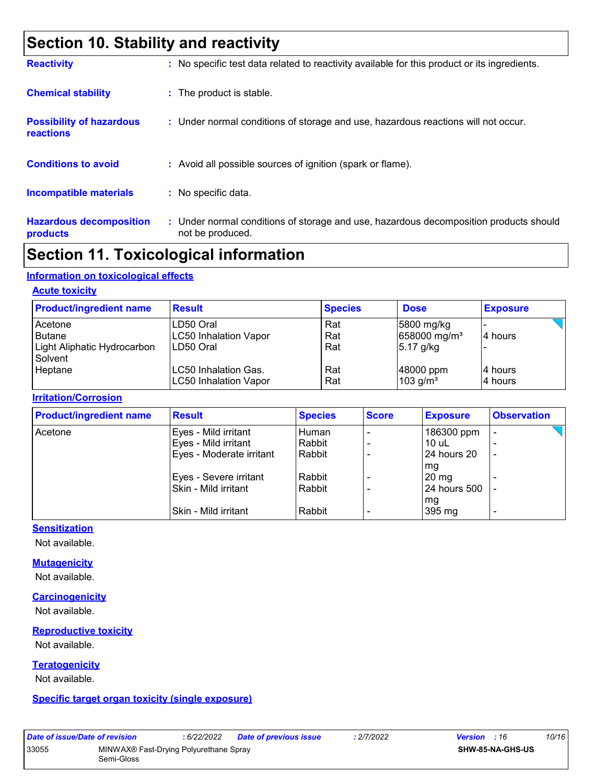# **Section 10. Stability and reactivity**

| <b>Reactivity</b>                            | : No specific test data related to reactivity available for this product or its ingredients.              |
|----------------------------------------------|-----------------------------------------------------------------------------------------------------------|
| <b>Chemical stability</b>                    | : The product is stable.                                                                                  |
| <b>Possibility of hazardous</b><br>reactions | : Under normal conditions of storage and use, hazardous reactions will not occur.                         |
| <b>Conditions to avoid</b>                   | : Avoid all possible sources of ignition (spark or flame).                                                |
| <b>Incompatible materials</b>                | : No specific data.                                                                                       |
| <b>Hazardous decomposition</b><br>products   | : Under normal conditions of storage and use, hazardous decomposition products should<br>not be produced. |

### **Section 11. Toxicological information**

#### **Information on toxicological effects**

#### **Acute toxicity**

| <b>Product/ingredient name</b>                                     | <b>Result</b>                                          | <b>Species</b>    | <b>Dose</b>                                           | <b>Exposure</b>     |
|--------------------------------------------------------------------|--------------------------------------------------------|-------------------|-------------------------------------------------------|---------------------|
| Acetone<br><b>Butane</b><br>Light Aliphatic Hydrocarbon<br>Solvent | LD50 Oral<br><b>LC50 Inhalation Vapor</b><br>LD50 Oral | Rat<br>Rat<br>Rat | 5800 mg/kg<br>658000 mg/m <sup>3</sup><br>$5.17$ g/kg | 14 hours            |
| Heptane                                                            | LC50 Inhalation Gas.<br><b>LC50 Inhalation Vapor</b>   | Rat<br>Rat        | 48000 ppm<br>$103$ g/m <sup>3</sup>                   | 14 hours<br>4 hours |

#### **Irritation/Corrosion**

| <b>Product/ingredient name</b> | <b>Result</b>            | <b>Species</b> | <b>Score</b> | <b>Exposure</b> | <b>Observation</b>       |
|--------------------------------|--------------------------|----------------|--------------|-----------------|--------------------------|
| Acetone                        | Eyes - Mild irritant     | Human          |              | 186300 ppm      | -                        |
|                                | Eyes - Mild irritant     | Rabbit         |              | $10$ uL         |                          |
|                                | Eyes - Moderate irritant | Rabbit         |              | 24 hours 20     | $\overline{\phantom{a}}$ |
|                                |                          |                |              | mg              |                          |
|                                | Eyes - Severe irritant   | Rabbit         |              | $20 \text{ mg}$ |                          |
|                                | Skin - Mild irritant     | Rabbit         |              | 24 hours 500    |                          |
|                                |                          |                |              | mg              |                          |
|                                | Skin - Mild irritant     | Rabbit         |              | 395 mg          | ٠                        |

#### **Sensitization**

Not available.

#### **Mutagenicity**

Not available.

#### **Carcinogenicity**

Not available.

#### **Reproductive toxicity**

Not available.

#### **Teratogenicity**

Not available.

**Specific target organ toxicity (single exposure)**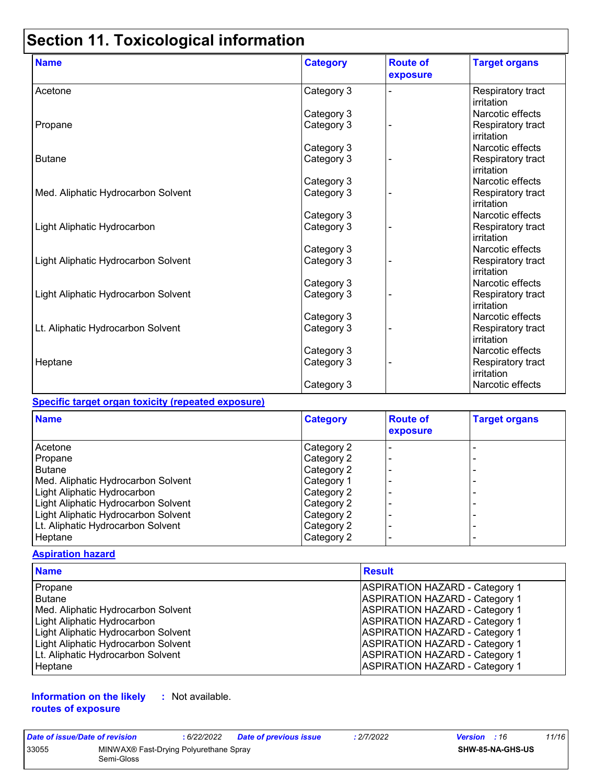# **Section 11. Toxicological information**

| <b>Name</b>                         | <b>Category</b> | <b>Route of</b><br>exposure | <b>Target organs</b>            |
|-------------------------------------|-----------------|-----------------------------|---------------------------------|
| Acetone                             | Category 3      |                             | Respiratory tract<br>irritation |
|                                     | Category 3      |                             | Narcotic effects                |
| Propane                             | Category 3      |                             | Respiratory tract<br>irritation |
|                                     | Category 3      |                             | Narcotic effects                |
| <b>Butane</b>                       | Category 3      |                             | Respiratory tract<br>irritation |
|                                     | Category 3      |                             | Narcotic effects                |
| Med. Aliphatic Hydrocarbon Solvent  | Category 3      |                             | Respiratory tract<br>irritation |
|                                     | Category 3      |                             | Narcotic effects                |
| Light Aliphatic Hydrocarbon         | Category 3      |                             | Respiratory tract<br>irritation |
|                                     | Category 3      |                             | Narcotic effects                |
| Light Aliphatic Hydrocarbon Solvent | Category 3      |                             | Respiratory tract<br>irritation |
|                                     | Category 3      |                             | Narcotic effects                |
| Light Aliphatic Hydrocarbon Solvent | Category 3      |                             | Respiratory tract<br>irritation |
|                                     | Category 3      |                             | Narcotic effects                |
| Lt. Aliphatic Hydrocarbon Solvent   | Category 3      |                             | Respiratory tract<br>irritation |
|                                     | Category 3      |                             | Narcotic effects                |
| Heptane                             | Category 3      |                             | Respiratory tract<br>irritation |
|                                     | Category 3      |                             | Narcotic effects                |

#### **Specific target organ toxicity (repeated exposure)**

| <b>Name</b>                         | <b>Category</b> | <b>Route of</b><br>exposure | <b>Target organs</b> |
|-------------------------------------|-----------------|-----------------------------|----------------------|
| Acetone                             | Category 2      |                             |                      |
| Propane                             | Category 2      |                             |                      |
| l Butane                            | Category 2      |                             |                      |
| Med. Aliphatic Hydrocarbon Solvent  | Category 1      |                             |                      |
| Light Aliphatic Hydrocarbon         | Category 2      |                             | -                    |
| Light Aliphatic Hydrocarbon Solvent | Category 2      |                             |                      |
| Light Aliphatic Hydrocarbon Solvent | Category 2      |                             |                      |
| Lt. Aliphatic Hydrocarbon Solvent   | Category 2      |                             |                      |
| Heptane                             | Category 2      |                             |                      |

#### **Aspiration hazard**

| <b>Name</b>                         | <b>Result</b>                         |
|-------------------------------------|---------------------------------------|
| Propane                             | <b>ASPIRATION HAZARD - Category 1</b> |
| l Butane                            | <b>ASPIRATION HAZARD - Category 1</b> |
| Med. Aliphatic Hydrocarbon Solvent  | <b>ASPIRATION HAZARD - Category 1</b> |
| Light Aliphatic Hydrocarbon         | <b>ASPIRATION HAZARD - Category 1</b> |
| Light Aliphatic Hydrocarbon Solvent | <b>ASPIRATION HAZARD - Category 1</b> |
| Light Aliphatic Hydrocarbon Solvent | <b>ASPIRATION HAZARD - Category 1</b> |
| Lt. Aliphatic Hydrocarbon Solvent   | <b>ASPIRATION HAZARD - Category 1</b> |
| Heptane                             | <b>ASPIRATION HAZARD - Category 1</b> |

**Information on the likely routes of exposure :** Not available.

| Date of issue/Date of revision |                                                      | : 6/22/2022 | <b>Date of previous issue</b> | : 2/7/2022 | <b>Version</b> : 16 |                         | 11/16 |
|--------------------------------|------------------------------------------------------|-------------|-------------------------------|------------|---------------------|-------------------------|-------|
| 33055                          | MINWAX® Fast-Drying Polyurethane Spray<br>Semi-Gloss |             |                               |            |                     | <b>SHW-85-NA-GHS-US</b> |       |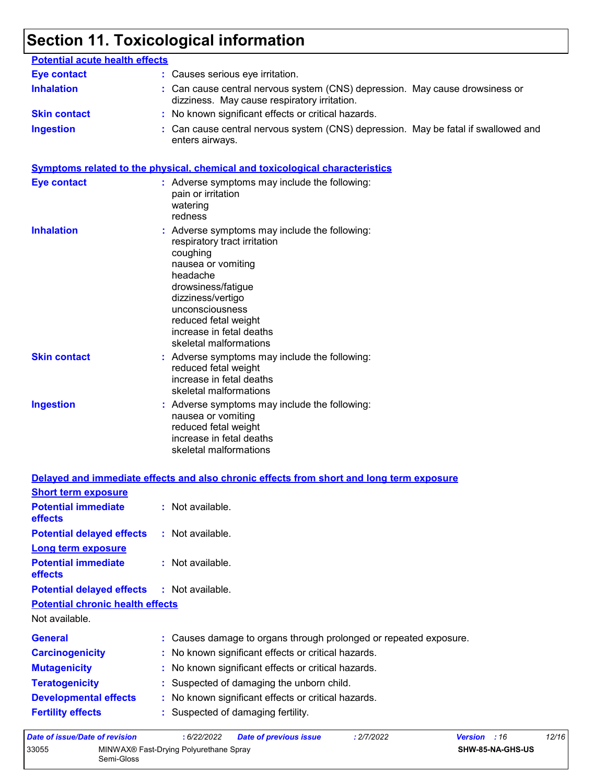# **Section 11. Toxicological information**

| <b>Potential acute health effects</b>   |                                                                                                                                                                                                                                                                         |
|-----------------------------------------|-------------------------------------------------------------------------------------------------------------------------------------------------------------------------------------------------------------------------------------------------------------------------|
| <b>Eye contact</b>                      | : Causes serious eye irritation.                                                                                                                                                                                                                                        |
| <b>Inhalation</b>                       | : Can cause central nervous system (CNS) depression. May cause drowsiness or<br>dizziness. May cause respiratory irritation.                                                                                                                                            |
| <b>Skin contact</b>                     | : No known significant effects or critical hazards.                                                                                                                                                                                                                     |
| <b>Ingestion</b>                        | Can cause central nervous system (CNS) depression. May be fatal if swallowed and<br>enters airways.                                                                                                                                                                     |
|                                         | <b>Symptoms related to the physical, chemical and toxicological characteristics</b>                                                                                                                                                                                     |
| <b>Eye contact</b>                      | : Adverse symptoms may include the following:<br>pain or irritation<br>watering<br>redness                                                                                                                                                                              |
| <b>Inhalation</b>                       | : Adverse symptoms may include the following:<br>respiratory tract irritation<br>coughing<br>nausea or vomiting<br>headache<br>drowsiness/fatigue<br>dizziness/vertigo<br>unconsciousness<br>reduced fetal weight<br>increase in fetal deaths<br>skeletal malformations |
| <b>Skin contact</b>                     | : Adverse symptoms may include the following:<br>reduced fetal weight<br>increase in fetal deaths<br>skeletal malformations                                                                                                                                             |
| <b>Ingestion</b>                        | : Adverse symptoms may include the following:<br>nausea or vomiting<br>reduced fetal weight<br>increase in fetal deaths<br>skeletal malformations                                                                                                                       |
|                                         | Delayed and immediate effects and also chronic effects from short and long term exposure                                                                                                                                                                                |
| <b>Short term exposure</b>              |                                                                                                                                                                                                                                                                         |
| <b>Potential immediate</b><br>effects   | : Not available.                                                                                                                                                                                                                                                        |
| <b>Potential delayed effects</b>        | : Not available.                                                                                                                                                                                                                                                        |
| <b>Long term exposure</b>               |                                                                                                                                                                                                                                                                         |
| <b>Potential immediate</b><br>effects   | : Not available.                                                                                                                                                                                                                                                        |
| <b>Potential delayed effects</b>        | : Not available.                                                                                                                                                                                                                                                        |
| <b>Potential chronic health effects</b> |                                                                                                                                                                                                                                                                         |
| Not available.                          |                                                                                                                                                                                                                                                                         |
| <b>General</b>                          | : Causes damage to organs through prolonged or repeated exposure.                                                                                                                                                                                                       |
| <b>Carcinogenicity</b>                  | No known significant effects or critical hazards.                                                                                                                                                                                                                       |
| <b>Mutagenicity</b>                     | No known significant effects or critical hazards.                                                                                                                                                                                                                       |
| <b>Teratogenicity</b>                   | Suspected of damaging the unborn child.                                                                                                                                                                                                                                 |
| <b>Developmental effects</b>            | No known significant effects or critical hazards.                                                                                                                                                                                                                       |
| <b>Fertility effects</b>                | Suspected of damaging fertility.                                                                                                                                                                                                                                        |

| Date of issue/Date of revision |                                                      | : 6/22/2022 | <b>Date of previous issue</b> | : 2/7/2022 | <b>Version</b> : 16     | 12/16 |
|--------------------------------|------------------------------------------------------|-------------|-------------------------------|------------|-------------------------|-------|
| 33055                          | MINWAX® Fast-Drying Polyurethane Spray<br>Semi-Gloss |             |                               |            | <b>SHW-85-NA-GHS-US</b> |       |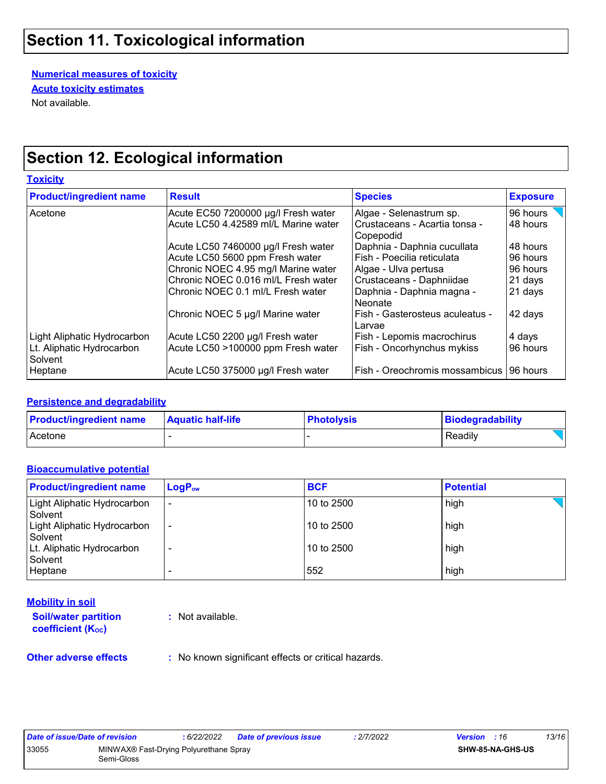# **Section 11. Toxicological information**

**Numerical measures of toxicity** Not available. **Acute toxicity estimates**

# **Section 12. Ecological information**

**Toxicity** Acetone Acute EC50 7200000 µg/l Fresh water Algae - Selenastrum sp. 96 hours Acute LC50 4.42589 ml/L Marine water | Crustaceans - Acartia tonsa -Copepodid<br>Daphnia - Daphnia cucullata 48 hours Acute LC50 7460000 µg/l Fresh water | Daphnia - Daphnia cucullata | 48 hours<br>Acute LC50 5600 ppm Fresh water | Fish - Poecilia reticulata | 96 hours Acute LC50 5600 ppm Fresh water Chronic NOEC 4.95 mg/l Marine water  $\vert$  Algae - Ulva pertusa  $\vert$ 96 hours Chronic NOEC 0.016 ml/L Fresh water Crustaceans - Daphniidae 21 days  $\vert$ Chronic NOEC 0.1 ml/L Fresh water  $\vert$ Daphnia - Daphnia magna -Neonate 21 days Chronic NOEC 5 µg/l Marine water Fish - Gasterosteus aculeatus -Larvae 42 days Light Aliphatic Hydrocarbon Acute LC50 2200 µg/l Fresh water Fish - Lepomis macrochirus | 4 days Lt. Aliphatic Hydrocarbon **Solvent** Acute LC50 >100000 ppm Fresh water Fish - Oncorhynchus mykiss | 96 hours Heptane Acute LC50 375000 µg/l Fresh water Fish - Oreochromis mossambicus 96 hours **Product/ingredient name Result Result Species Exposure** 

#### **Persistence and degradability**

| <b>Product/ingredient name</b> | <b>Aquatic half-life</b> | <b>Photolysis</b> | Biodegradability |
|--------------------------------|--------------------------|-------------------|------------------|
| Acetone                        |                          |                   | Readily          |

#### **Bioaccumulative potential**

| <b>Product/ingredient name</b>         | $LogP_{ow}$              | <b>BCF</b> | <b>Potential</b> |
|----------------------------------------|--------------------------|------------|------------------|
| Light Aliphatic Hydrocarbon<br>Solvent | ٠                        | 10 to 2500 | high             |
| Light Aliphatic Hydrocarbon<br>Solvent | $\overline{\phantom{a}}$ | 10 to 2500 | high             |
| Lt. Aliphatic Hydrocarbon<br>Solvent   | $\overline{\phantom{0}}$ | 10 to 2500 | high             |
| Heptane                                |                          | 552        | high             |

#### **Mobility in soil**

**Soil/water partition coefficient (K**<sub>oc</sub>)

**:** Not available.

**Other adverse effects** : No known significant effects or critical hazards.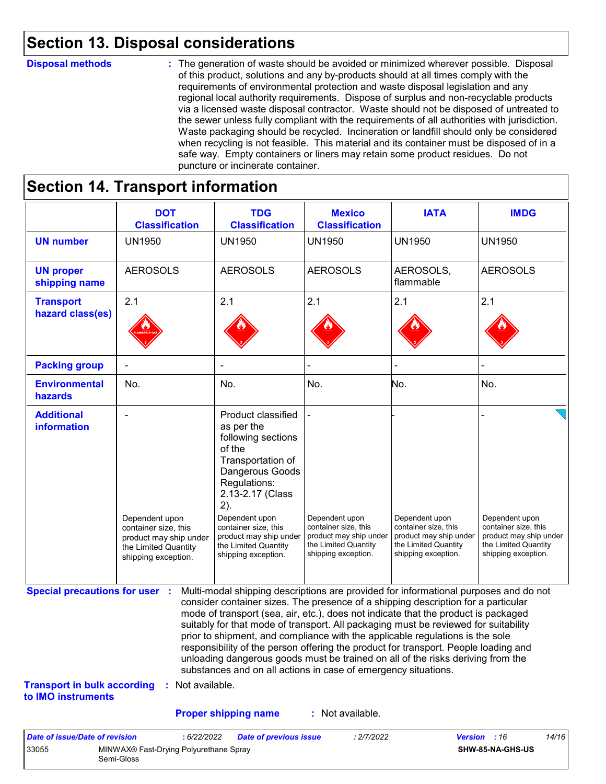# **Section 13. Disposal considerations**

#### **Disposal methods :**

The generation of waste should be avoided or minimized wherever possible. Disposal of this product, solutions and any by-products should at all times comply with the requirements of environmental protection and waste disposal legislation and any regional local authority requirements. Dispose of surplus and non-recyclable products via a licensed waste disposal contractor. Waste should not be disposed of untreated to the sewer unless fully compliant with the requirements of all authorities with jurisdiction. Waste packaging should be recycled. Incineration or landfill should only be considered when recycling is not feasible. This material and its container must be disposed of in a safe way. Empty containers or liners may retain some product residues. Do not puncture or incinerate container.

### **Section 14. Transport information**

33055 MINWAX® Fast-Drying Polyurethane Spray

Semi-Gloss

|                                                                             | <b>DOT</b><br><b>Classification</b>                                                                             | <b>TDG</b><br><b>Classification</b>                                                                                                                                                                                                                                                                                                                                                                                                                                                                                                                                                                                                                                                 | <b>Mexico</b><br><b>Classification</b>                                                                          | <b>IATA</b>                                                                                                     | <b>IMDG</b>                                                                                                     |
|-----------------------------------------------------------------------------|-----------------------------------------------------------------------------------------------------------------|-------------------------------------------------------------------------------------------------------------------------------------------------------------------------------------------------------------------------------------------------------------------------------------------------------------------------------------------------------------------------------------------------------------------------------------------------------------------------------------------------------------------------------------------------------------------------------------------------------------------------------------------------------------------------------------|-----------------------------------------------------------------------------------------------------------------|-----------------------------------------------------------------------------------------------------------------|-----------------------------------------------------------------------------------------------------------------|
| <b>UN number</b>                                                            | <b>UN1950</b>                                                                                                   | <b>UN1950</b>                                                                                                                                                                                                                                                                                                                                                                                                                                                                                                                                                                                                                                                                       | <b>UN1950</b>                                                                                                   | <b>UN1950</b>                                                                                                   | <b>UN1950</b>                                                                                                   |
| <b>UN proper</b><br>shipping name                                           | <b>AEROSOLS</b>                                                                                                 | <b>AEROSOLS</b>                                                                                                                                                                                                                                                                                                                                                                                                                                                                                                                                                                                                                                                                     | <b>AEROSOLS</b>                                                                                                 | AEROSOLS,<br>flammable                                                                                          | <b>AEROSOLS</b>                                                                                                 |
| <b>Transport</b><br>hazard class(es)                                        | 2.1                                                                                                             | 2.1                                                                                                                                                                                                                                                                                                                                                                                                                                                                                                                                                                                                                                                                                 | 2.1                                                                                                             | 2.1                                                                                                             | 2.1                                                                                                             |
| <b>Packing group</b>                                                        |                                                                                                                 |                                                                                                                                                                                                                                                                                                                                                                                                                                                                                                                                                                                                                                                                                     |                                                                                                                 |                                                                                                                 |                                                                                                                 |
| <b>Environmental</b><br>hazards                                             | No.                                                                                                             | No.                                                                                                                                                                                                                                                                                                                                                                                                                                                                                                                                                                                                                                                                                 | No.                                                                                                             | No.                                                                                                             | No.                                                                                                             |
| <b>Additional</b><br>information                                            | Dependent upon<br>container size, this<br>product may ship under<br>the Limited Quantity<br>shipping exception. | Product classified<br>as per the<br>following sections<br>of the<br>Transportation of<br>Dangerous Goods<br>Regulations:<br>2.13-2.17 (Class<br>2).<br>Dependent upon<br>container size, this<br>product may ship under<br>the Limited Quantity<br>shipping exception.                                                                                                                                                                                                                                                                                                                                                                                                              | Dependent upon<br>container size, this<br>product may ship under<br>the Limited Quantity<br>shipping exception. | Dependent upon<br>container size, this<br>product may ship under<br>the Limited Quantity<br>shipping exception. | Dependent upon<br>container size, this<br>product may ship under<br>the Limited Quantity<br>shipping exception. |
| <b>Special precautions for user :</b><br><b>Transport in bulk according</b> | : Not available.                                                                                                | Multi-modal shipping descriptions are provided for informational purposes and do not<br>consider container sizes. The presence of a shipping description for a particular<br>mode of transport (sea, air, etc.), does not indicate that the product is packaged<br>suitably for that mode of transport. All packaging must be reviewed for suitability<br>prior to shipment, and compliance with the applicable regulations is the sole<br>responsibility of the person offering the product for transport. People loading and<br>unloading dangerous goods must be trained on all of the risks deriving from the<br>substances and on all actions in case of emergency situations. |                                                                                                                 |                                                                                                                 |                                                                                                                 |
| to IMO instruments                                                          |                                                                                                                 |                                                                                                                                                                                                                                                                                                                                                                                                                                                                                                                                                                                                                                                                                     |                                                                                                                 |                                                                                                                 |                                                                                                                 |
|                                                                             |                                                                                                                 | <b>Proper shipping name</b>                                                                                                                                                                                                                                                                                                                                                                                                                                                                                                                                                                                                                                                         | : Not available.                                                                                                |                                                                                                                 |                                                                                                                 |

**SHW-85-NA-GHS-US**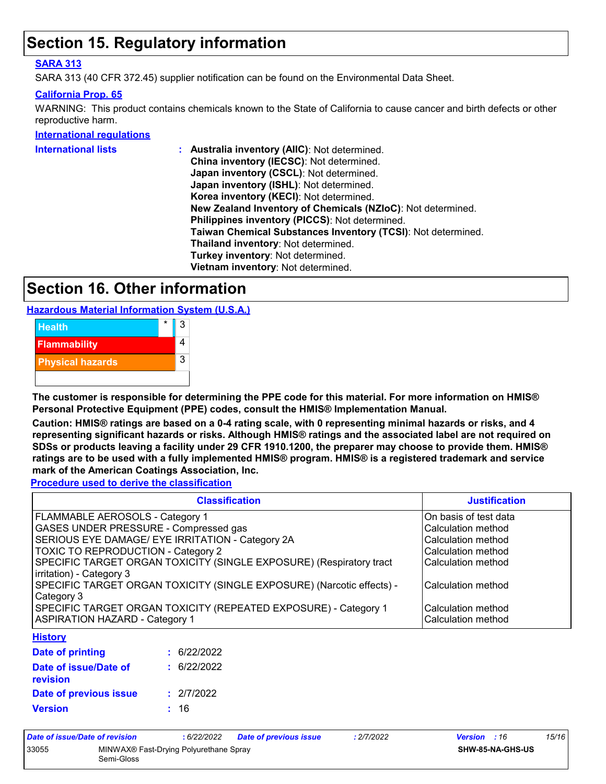# **Section 15. Regulatory information**

#### **SARA 313**

SARA 313 (40 CFR 372.45) supplier notification can be found on the Environmental Data Sheet.

#### **California Prop. 65**

WARNING: This product contains chemicals known to the State of California to cause cancer and birth defects or other reproductive harm.

#### **International regulations**

| <b>International lists</b> | Australia inventory (AIIC): Not determined.                  |
|----------------------------|--------------------------------------------------------------|
|                            | China inventory (IECSC): Not determined.                     |
|                            | Japan inventory (CSCL): Not determined.                      |
|                            | Japan inventory (ISHL): Not determined.                      |
|                            | Korea inventory (KECI): Not determined.                      |
|                            | New Zealand Inventory of Chemicals (NZIoC): Not determined.  |
|                            | Philippines inventory (PICCS): Not determined.               |
|                            | Taiwan Chemical Substances Inventory (TCSI): Not determined. |
|                            | Thailand inventory: Not determined.                          |
|                            | Turkey inventory: Not determined.                            |
|                            | Vietnam inventory: Not determined.                           |
|                            |                                                              |

# **Section 16. Other information**

**Hazardous Material Information System (U.S.A.)**



**The customer is responsible for determining the PPE code for this material. For more information on HMIS® Personal Protective Equipment (PPE) codes, consult the HMIS® Implementation Manual.**

**Caution: HMIS® ratings are based on a 0-4 rating scale, with 0 representing minimal hazards or risks, and 4 representing significant hazards or risks. Although HMIS® ratings and the associated label are not required on SDSs or products leaving a facility under 29 CFR 1910.1200, the preparer may choose to provide them. HMIS® ratings are to be used with a fully implemented HMIS® program. HMIS® is a registered trademark and service mark of the American Coatings Association, Inc.**

**Procedure used to derive the classification**

| <b>Classification</b>                                                 | <b>Justification</b>      |
|-----------------------------------------------------------------------|---------------------------|
| FLAMMABLE AEROSOLS - Category 1                                       | On basis of test data     |
| <b>GASES UNDER PRESSURE - Compressed gas</b>                          | Calculation method        |
| SERIOUS EYE DAMAGE/ EYE IRRITATION - Category 2A                      | Calculation method        |
| <b>TOXIC TO REPRODUCTION - Category 2</b>                             | Calculation method        |
| SPECIFIC TARGET ORGAN TOXICITY (SINGLE EXPOSURE) (Respiratory tract   | <b>Calculation method</b> |
| irritation) - Category 3                                              |                           |
| SPECIFIC TARGET ORGAN TOXICITY (SINGLE EXPOSURE) (Narcotic effects) - | Calculation method        |
| Category 3                                                            |                           |
| SPECIFIC TARGET ORGAN TOXICITY (REPEATED EXPOSURE) - Category 1       | Calculation method        |
| <b>ASPIRATION HAZARD - Category 1</b>                                 | Calculation method        |
| <b>History</b>                                                        |                           |

| Date of printing                  | : 6/22/2022 |
|-----------------------------------|-------------|
| Date of issue/Date of<br>revision | : 6/22/2022 |
| Date of previous issue            | : 2/7/2022  |
| <b>Version</b>                    | : 16        |